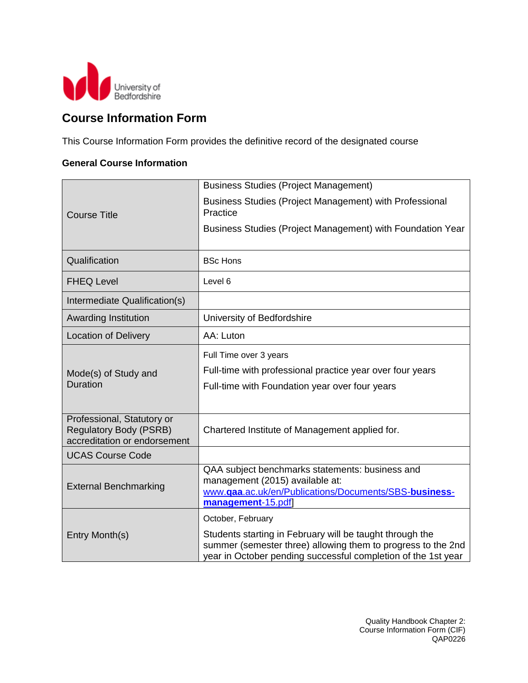

## **Course Information Form**

This Course Information Form provides the definitive record of the designated course

#### **General Course Information**

|                                                                                             | <b>Business Studies (Project Management)</b>                                                                                                                                              |
|---------------------------------------------------------------------------------------------|-------------------------------------------------------------------------------------------------------------------------------------------------------------------------------------------|
| <b>Course Title</b>                                                                         | Business Studies (Project Management) with Professional<br>Practice                                                                                                                       |
|                                                                                             | Business Studies (Project Management) with Foundation Year                                                                                                                                |
| Qualification                                                                               | <b>BSc Hons</b>                                                                                                                                                                           |
| <b>FHEQ Level</b>                                                                           | Level 6                                                                                                                                                                                   |
| Intermediate Qualification(s)                                                               |                                                                                                                                                                                           |
| <b>Awarding Institution</b>                                                                 | University of Bedfordshire                                                                                                                                                                |
| <b>Location of Delivery</b>                                                                 | AA: Luton                                                                                                                                                                                 |
| Mode(s) of Study and<br>Duration                                                            | Full Time over 3 years<br>Full-time with professional practice year over four years<br>Full-time with Foundation year over four years                                                     |
| Professional, Statutory or<br><b>Regulatory Body (PSRB)</b><br>accreditation or endorsement | Chartered Institute of Management applied for.                                                                                                                                            |
| <b>UCAS Course Code</b>                                                                     |                                                                                                                                                                                           |
| <b>External Benchmarking</b>                                                                | QAA subject benchmarks statements: business and<br>management (2015) available at:<br>www.qaa.ac.uk/en/Publications/Documents/SBS-business-<br>management-15.pdf                          |
|                                                                                             | October, February                                                                                                                                                                         |
| Entry Month(s)                                                                              | Students starting in February will be taught through the<br>summer (semester three) allowing them to progress to the 2nd<br>year in October pending successful completion of the 1st year |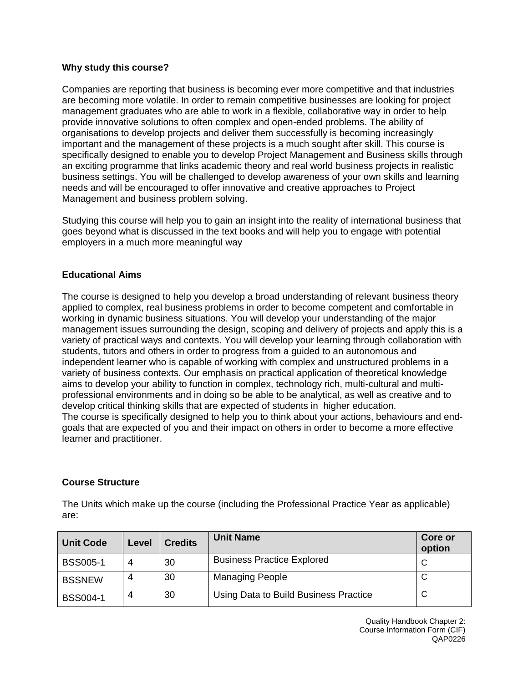#### **Why study this course?**

Companies are reporting that business is becoming ever more competitive and that industries are becoming more volatile. In order to remain competitive businesses are looking for project management graduates who are able to work in a flexible, collaborative way in order to help provide innovative solutions to often complex and open-ended problems. The ability of organisations to develop projects and deliver them successfully is becoming increasingly important and the management of these projects is a much sought after skill. This course is specifically designed to enable you to develop Project Management and Business skills through an exciting programme that links academic theory and real world business projects in realistic business settings. You will be challenged to develop awareness of your own skills and learning needs and will be encouraged to offer innovative and creative approaches to Project Management and business problem solving.

Studying this course will help you to gain an insight into the reality of international business that goes beyond what is discussed in the text books and will help you to engage with potential employers in a much more meaningful way

#### **Educational Aims**

The course is designed to help you develop a broad understanding of relevant business theory applied to complex, real business problems in order to become competent and comfortable in working in dynamic business situations. You will develop your understanding of the major management issues surrounding the design, scoping and delivery of projects and apply this is a variety of practical ways and contexts. You will develop your learning through collaboration with students, tutors and others in order to progress from a guided to an autonomous and independent learner who is capable of working with complex and unstructured problems in a variety of business contexts. Our emphasis on practical application of theoretical knowledge aims to develop your ability to function in complex, technology rich, multi-cultural and multiprofessional environments and in doing so be able to be analytical, as well as creative and to develop critical thinking skills that are expected of students in higher education. The course is specifically designed to help you to think about your actions, behaviours and endgoals that are expected of you and their impact on others in order to become a more effective learner and practitioner.

#### **Course Structure**

The Units which make up the course (including the Professional Practice Year as applicable) are:

| <b>Unit Code</b> | Level | <b>Credits</b> | <b>Unit Name</b>                      | <b>Core or</b><br>option |
|------------------|-------|----------------|---------------------------------------|--------------------------|
| <b>BSS005-1</b>  |       | 30             | <b>Business Practice Explored</b>     | C                        |
| <b>BSSNEW</b>    |       | 30             | <b>Managing People</b>                | ັ                        |
| <b>BSS004-1</b>  |       | 30             | Using Data to Build Business Practice | C                        |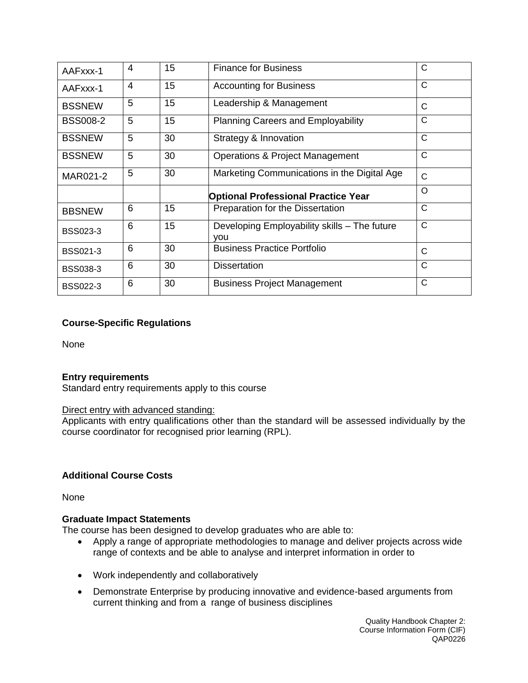| AAFxxx-1        | $\overline{4}$ | 15 | <b>Finance for Business</b>                         | С            |
|-----------------|----------------|----|-----------------------------------------------------|--------------|
| AAFxxx-1        | 4              | 15 | <b>Accounting for Business</b>                      | C            |
| <b>BSSNEW</b>   | 5              | 15 | Leadership & Management                             | C            |
| <b>BSS008-2</b> | 5              | 15 | <b>Planning Careers and Employability</b>           | C            |
| <b>BSSNEW</b>   | 5              | 30 | Strategy & Innovation                               | $\mathsf{C}$ |
| <b>BSSNEW</b>   | 5              | 30 | Operations & Project Management                     | C            |
| MAR021-2        | 5              | 30 | Marketing Communications in the Digital Age         | C            |
|                 |                |    | <b>Optional Professional Practice Year</b>          | O            |
| <b>BBSNEW</b>   | 6              | 15 | Preparation for the Dissertation                    | C            |
| <b>BSS023-3</b> | 6              | 15 | Developing Employability skills - The future<br>vou | C            |
| <b>BSS021-3</b> | 6              | 30 | <b>Business Practice Portfolio</b>                  | C            |
| <b>BSS038-3</b> | 6              | 30 | <b>Dissertation</b>                                 | C            |
| <b>BSS022-3</b> | 6              | 30 | <b>Business Project Management</b>                  | $\mathsf{C}$ |

### **Course-Specific Regulations**

None

#### **Entry requirements**

Standard entry requirements apply to this course

#### Direct entry with advanced standing:

Applicants with entry qualifications other than the standard will be assessed individually by the course coordinator for recognised prior learning (RPL).

#### **Additional Course Costs**

None

#### **Graduate Impact Statements**

The course has been designed to develop graduates who are able to:

- Apply a range of appropriate methodologies to manage and deliver projects across wide range of contexts and be able to analyse and interpret information in order to
- Work independently and collaboratively
- Demonstrate Enterprise by producing innovative and evidence-based arguments from current thinking and from a range of business disciplines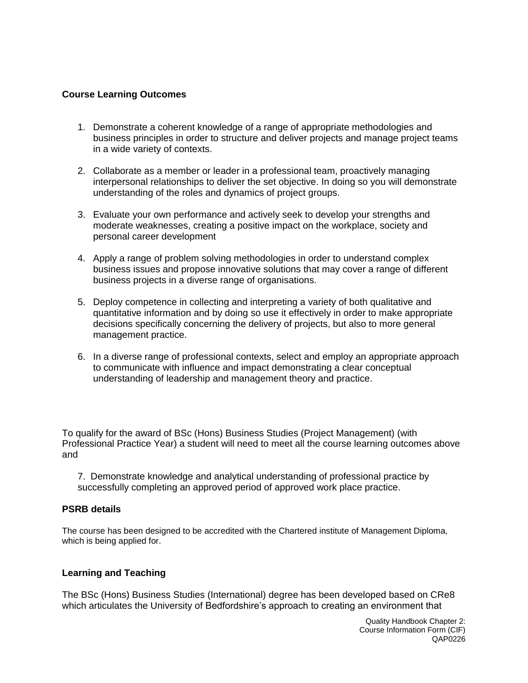#### **Course Learning Outcomes**

- 1. Demonstrate a coherent knowledge of a range of appropriate methodologies and business principles in order to structure and deliver projects and manage project teams in a wide variety of contexts.
- 2. Collaborate as a member or leader in a professional team, proactively managing interpersonal relationships to deliver the set objective. In doing so you will demonstrate understanding of the roles and dynamics of project groups.
- 3. Evaluate your own performance and actively seek to develop your strengths and moderate weaknesses, creating a positive impact on the workplace, society and personal career development
- 4. Apply a range of problem solving methodologies in order to understand complex business issues and propose innovative solutions that may cover a range of different business projects in a diverse range of organisations.
- 5. Deploy competence in collecting and interpreting a variety of both qualitative and quantitative information and by doing so use it effectively in order to make appropriate decisions specifically concerning the delivery of projects, but also to more general management practice.
- 6. In a diverse range of professional contexts, select and employ an appropriate approach to communicate with influence and impact demonstrating a clear conceptual understanding of leadership and management theory and practice.

To qualify for the award of BSc (Hons) Business Studies (Project Management) (with Professional Practice Year) a student will need to meet all the course learning outcomes above and

7. Demonstrate knowledge and analytical understanding of professional practice by successfully completing an approved period of approved work place practice.

#### **PSRB details**

The course has been designed to be accredited with the Chartered institute of Management Diploma, which is being applied for.

#### **Learning and Teaching**

The BSc (Hons) Business Studies (International) degree has been developed based on CRe8 which articulates the University of Bedfordshire's approach to creating an environment that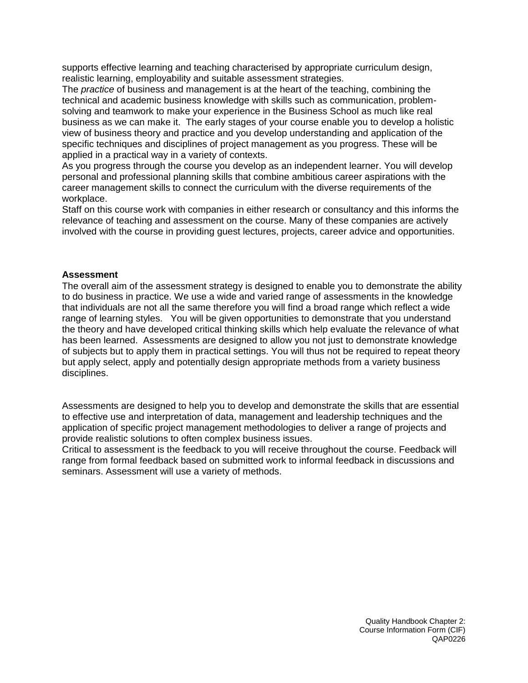supports effective learning and teaching characterised by appropriate curriculum design, realistic learning, employability and suitable assessment strategies.

The *practice* of business and management is at the heart of the teaching, combining the technical and academic business knowledge with skills such as communication, problemsolving and teamwork to make your experience in the Business School as much like real business as we can make it. The early stages of your course enable you to develop a holistic view of business theory and practice and you develop understanding and application of the specific techniques and disciplines of project management as you progress. These will be applied in a practical way in a variety of contexts.

As you progress through the course you develop as an independent learner. You will develop personal and professional planning skills that combine ambitious career aspirations with the career management skills to connect the curriculum with the diverse requirements of the workplace.

Staff on this course work with companies in either research or consultancy and this informs the relevance of teaching and assessment on the course. Many of these companies are actively involved with the course in providing guest lectures, projects, career advice and opportunities.

#### **Assessment**

The overall aim of the assessment strategy is designed to enable you to demonstrate the ability to do business in practice. We use a wide and varied range of assessments in the knowledge that individuals are not all the same therefore you will find a broad range which reflect a wide range of learning styles. You will be given opportunities to demonstrate that you understand the theory and have developed critical thinking skills which help evaluate the relevance of what has been learned. Assessments are designed to allow you not just to demonstrate knowledge of subjects but to apply them in practical settings. You will thus not be required to repeat theory but apply select, apply and potentially design appropriate methods from a variety business disciplines.

Assessments are designed to help you to develop and demonstrate the skills that are essential to effective use and interpretation of data, management and leadership techniques and the application of specific project management methodologies to deliver a range of projects and provide realistic solutions to often complex business issues.

Critical to assessment is the feedback to you will receive throughout the course. Feedback will range from formal feedback based on submitted work to informal feedback in discussions and seminars. Assessment will use a variety of methods.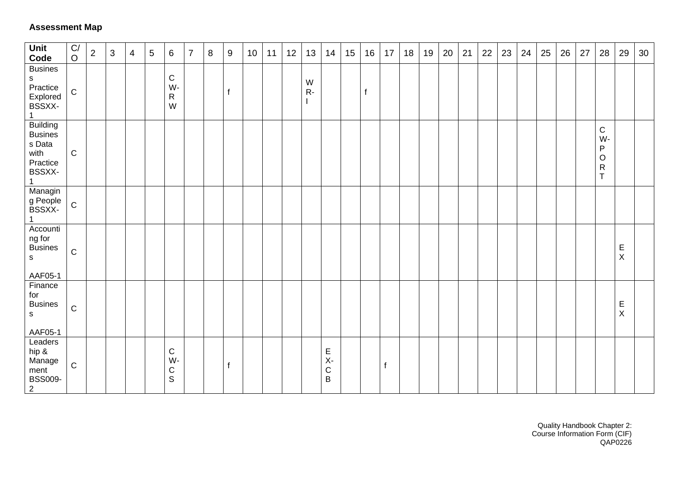### **Assessment Map**

| Unit<br>Code                                                              | C/<br>$\mathsf O$ | 2 | 3 | $\overline{4}$ | $\overline{5}$ | $6\phantom{1}6$                        | $\overline{7}$ | 8 | 9            | 10 <sup>°</sup> | 11 | 12 | 13         | 14                             | 15 | 16 | 17 | 18 | 19 | 20 | 21 | 22 | 23 | 24 | 25 | 26 | 27 | 28                                                            | 29                          | 30 |
|---------------------------------------------------------------------------|-------------------|---|---|----------------|----------------|----------------------------------------|----------------|---|--------------|-----------------|----|----|------------|--------------------------------|----|----|----|----|----|----|----|----|----|----|----|----|----|---------------------------------------------------------------|-----------------------------|----|
| <b>Busines</b><br>s<br>Practice<br>Explored<br>BSSXX-                     | ${\bf C}$         |   |   |                |                | $\mathbf C$<br>W-<br>$\mathsf{R}$<br>W |                |   | $\mathbf{f}$ |                 |    |    | W<br>$R -$ |                                |    |    |    |    |    |    |    |    |    |    |    |    |    |                                                               |                             |    |
| <b>Building</b><br><b>Busines</b><br>s Data<br>with<br>Practice<br>BSSXX- | $\mathsf C$       |   |   |                |                |                                        |                |   |              |                 |    |    |            |                                |    |    |    |    |    |    |    |    |    |    |    |    |    | $\mathbf C$<br>W-<br>P<br>$\circ$<br>${\sf R}$<br>$\mathsf T$ |                             |    |
| Managin<br>g People<br>BSSXX-                                             | ${\bf C}$         |   |   |                |                |                                        |                |   |              |                 |    |    |            |                                |    |    |    |    |    |    |    |    |    |    |    |    |    |                                                               |                             |    |
| Accounti<br>ng for<br><b>Busines</b><br>$\mathsf{s}$<br>AAF05-1           | $\mathbf C$       |   |   |                |                |                                        |                |   |              |                 |    |    |            |                                |    |    |    |    |    |    |    |    |    |    |    |    |    |                                                               | $\mathsf E$<br>$\mathsf{X}$ |    |
| Finance<br>for<br><b>Busines</b><br>$\mathsf{s}$<br>AAF05-1               | ${\bf C}$         |   |   |                |                |                                        |                |   |              |                 |    |    |            |                                |    |    |    |    |    |    |    |    |    |    |    |    |    |                                                               | $\mathsf E$<br>$\sf X$      |    |
| Leaders<br>hip &<br>Manage<br>ment<br><b>BSS009-</b><br>$\overline{2}$    | $\mathbf C$       |   |   |                |                | $\mathbf C$<br>W-<br>C<br>$\mathsf S$  |                |   | $\mathbf{f}$ |                 |    |    |            | E<br>$X -$<br>$\mathsf C$<br>B |    |    | f  |    |    |    |    |    |    |    |    |    |    |                                                               |                             |    |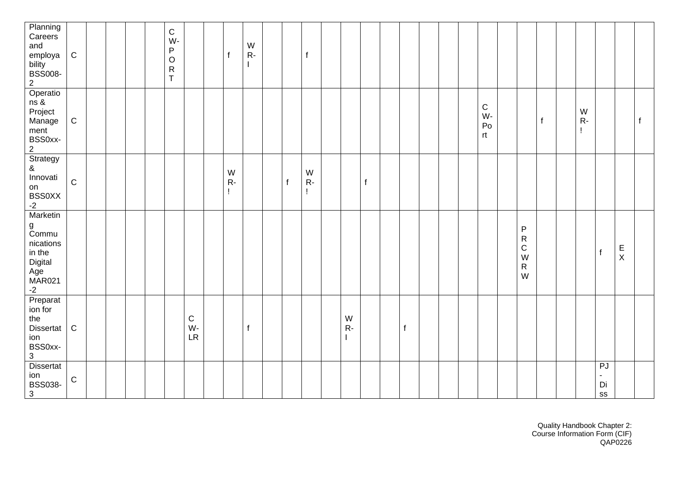| Planning<br>Careers<br>and<br>employa<br>bility<br>BSS008-<br>$\overline{2}$             | ${\bf C}$   |  |  | $\mathsf C$<br>W-<br>P<br>$\mathsf O$<br>${\sf R}$<br>$\mathsf{T}$ |               | $\mathsf{f}$    | W<br>$R -$   |              | $\mathsf f$       |            |   |   |  |                               |                                                                      |              |                        |                                                  |                            |              |
|------------------------------------------------------------------------------------------|-------------|--|--|--------------------------------------------------------------------|---------------|-----------------|--------------|--------------|-------------------|------------|---|---|--|-------------------------------|----------------------------------------------------------------------|--------------|------------------------|--------------------------------------------------|----------------------------|--------------|
| Operatio<br>ns &<br>Project<br>Manage<br>ment<br>BSS0xx-<br>$\overline{2}$               | ${\bf C}$   |  |  |                                                                    |               |                 |              |              |                   |            |   |   |  | $\mathsf C$<br>W-<br>Po<br>rt |                                                                      | $\mathsf{f}$ | ${\sf W}$<br>$R-$<br>L |                                                  |                            | $\mathsf{f}$ |
| Strategy<br>$\pmb{\&}$<br>Innovati<br>on<br><b>BSS0XX</b><br>$-2$                        | $\mathbf C$ |  |  |                                                                    |               | W<br>$R -$<br>Ţ |              | $\mathbf{f}$ | ${\sf W}$<br>$R-$ |            | f |   |  |                               |                                                                      |              |                        |                                                  |                            |              |
| Marketin<br>g<br>Commu<br>nications<br>in the<br>Digital<br>Age<br><b>MAR021</b><br>$-2$ |             |  |  |                                                                    |               |                 |              |              |                   |            |   |   |  |                               | ${\sf P}$<br>${\sf R}$<br>$\mathsf C$<br>${\sf W}$<br>${\sf R}$<br>W |              |                        | $\mathsf f$                                      | $\mathsf E$<br>$\mathsf X$ |              |
| Preparat<br>ion for<br>the<br>Dissertat<br>ion<br>BSS0xx-<br>$\mathbf{3}$                | ${\bf C}$   |  |  |                                                                    | C<br>W-<br>LR |                 | $\mathsf{f}$ |              |                   | W<br>$R -$ |   | f |  |                               |                                                                      |              |                        |                                                  |                            |              |
| Dissertat<br>ion<br><b>BSS038-</b><br>$\mathbf{3}$                                       | $\mathbf C$ |  |  |                                                                    |               |                 |              |              |                   |            |   |   |  |                               |                                                                      |              |                        | ${\sf PJ}$<br>$\blacksquare$<br>Di<br>${\tt SS}$ |                            |              |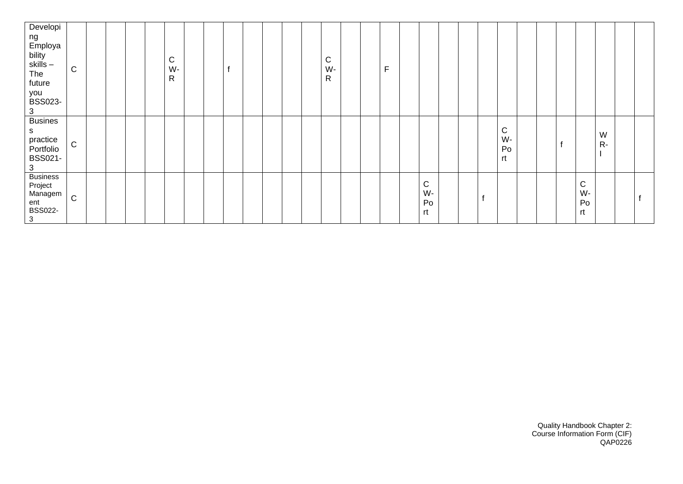| Developi<br>ng<br>Employa<br>bility<br>skills –<br>The<br>future<br>you<br><b>BSS023-</b><br>3 | $\mathsf{C}$ |  |  | C<br>W-<br>R |  |  |  | $\mathsf C$<br>W-<br>R |  | F |                     |  |   |                                |  |                             |           |  |
|------------------------------------------------------------------------------------------------|--------------|--|--|--------------|--|--|--|------------------------|--|---|---------------------|--|---|--------------------------------|--|-----------------------------|-----------|--|
| <b>Busines</b><br>S.<br>practice<br>Portfolio<br><b>BSS021-</b><br>3                           | $\mathsf C$  |  |  |              |  |  |  |                        |  |   |                     |  |   | $\mathsf{C}$<br>W-<br>Po<br>rt |  |                             | W<br>$R-$ |  |
| <b>Business</b><br>Project<br>Managem<br>ent<br><b>BSS022-</b><br>$\overline{\mathbf{3}}$      | $\mathsf C$  |  |  |              |  |  |  |                        |  |   | C<br>W-<br>Po<br>rt |  | f |                                |  | ${\bf C}$<br>W-<br>Po<br>rt |           |  |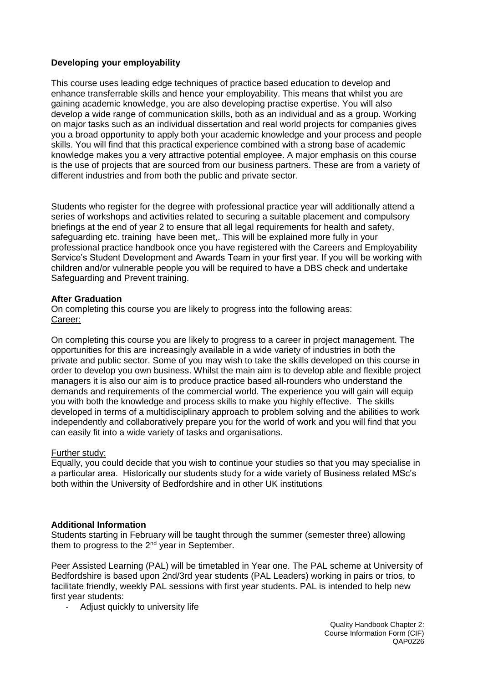#### **Developing your employability**

This course uses leading edge techniques of practice based education to develop and enhance transferrable skills and hence your employability. This means that whilst you are gaining academic knowledge, you are also developing practise expertise. You will also develop a wide range of communication skills, both as an individual and as a group. Working on major tasks such as an individual dissertation and real world projects for companies gives you a broad opportunity to apply both your academic knowledge and your process and people skills. You will find that this practical experience combined with a strong base of academic knowledge makes you a very attractive potential employee. A major emphasis on this course is the use of projects that are sourced from our business partners. These are from a variety of different industries and from both the public and private sector.

Students who register for the degree with professional practice year will additionally attend a series of workshops and activities related to securing a suitable placement and compulsory briefings at the end of year 2 to ensure that all legal requirements for health and safety, safeguarding etc. training have been met,. This will be explained more fully in your professional practice handbook once you have registered with the Careers and Employability Service's Student Development and Awards Team in your first year. If you will be working with children and/or vulnerable people you will be required to have a DBS check and undertake Safeguarding and Prevent training.

#### **After Graduation**

On completing this course you are likely to progress into the following areas: Career:

On completing this course you are likely to progress to a career in project management. The opportunities for this are increasingly available in a wide variety of industries in both the private and public sector. Some of you may wish to take the skills developed on this course in order to develop you own business. Whilst the main aim is to develop able and flexible project managers it is also our aim is to produce practice based all-rounders who understand the demands and requirements of the commercial world. The experience you will gain will equip you with both the knowledge and process skills to make you highly effective. The skills developed in terms of a multidisciplinary approach to problem solving and the abilities to work independently and collaboratively prepare you for the world of work and you will find that you can easily fit into a wide variety of tasks and organisations.

#### Further study:

Equally, you could decide that you wish to continue your studies so that you may specialise in a particular area. Historically our students study for a wide variety of Business related MSc's both within the University of Bedfordshire and in other UK institutions

#### **Additional Information**

Students starting in February will be taught through the summer (semester three) allowing them to progress to the  $2^{nd}$  year in September.

Peer Assisted Learning (PAL) will be timetabled in Year one. The PAL scheme at University of Bedfordshire is based upon 2nd/3rd year students (PAL Leaders) working in pairs or trios, to facilitate friendly, weekly PAL sessions with first year students. PAL is intended to help new first year students:

- Adjust quickly to university life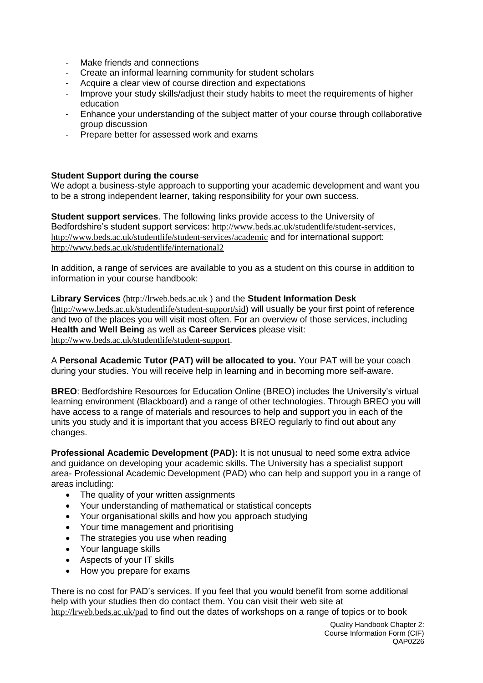- Make friends and connections
- Create an informal learning community for student scholars
- Acquire a clear view of course direction and expectations
- Improve your study skills/adjust their study habits to meet the requirements of higher education
- Enhance your understanding of the subject matter of your course through collaborative group discussion
- Prepare better for assessed work and exams

#### **Student Support during the course**

We adopt a business-style approach to supporting your academic development and want you to be a strong independent learner, taking responsibility for your own success.

**Student support services**. The following links provide access to the University of Bedfordshire's student support services: <http://www.beds.ac.uk/studentlife/student-services>, <http://www.beds.ac.uk/studentlife/student-services/academic> and for international support: <http://www.beds.ac.uk/studentlife/international2>

In addition, a range of services are available to you as a student on this course in addition to information in your course handbook:

**Library Services** ([http://lrweb.beds.ac.uk](http://lrweb.beds.ac.uk/) ) and the **Student Information Desk** (<http://www.beds.ac.uk/studentlife/student-support/sid>) will usually be your first point of reference and two of the places you will visit most often. For an overview of those services, including **Health and Well Being** as well as **Career Services** please visit: <http://www.beds.ac.uk/studentlife/student-support>.

A **Personal Academic Tutor (PAT) will be allocated to you.** Your PAT will be your coach during your studies. You will receive help in learning and in becoming more self-aware.

**BREO**: Bedfordshire Resources for Education Online (BREO) includes the University's virtual learning environment (Blackboard) and a range of other technologies. Through BREO you will have access to a range of materials and resources to help and support you in each of the units you study and it is important that you access BREO regularly to find out about any changes.

**Professional Academic Development (PAD):** It is not unusual to need some extra advice and guidance on developing your academic skills. The University has a specialist support area- Professional Academic Development (PAD) who can help and support you in a range of areas including:

- The quality of your written assignments
- Your understanding of mathematical or statistical concepts
- Your organisational skills and how you approach studying
- Your time management and prioritising
- The strategies you use when reading
- Your language skills
- Aspects of your IT skills
- How you prepare for exams

There is no cost for PAD's services. If you feel that you would benefit from some additional help with your studies then do contact them. You can visit their web site at <http://lrweb.beds.ac.uk/pad> to find out the dates of workshops on a range of topics or to book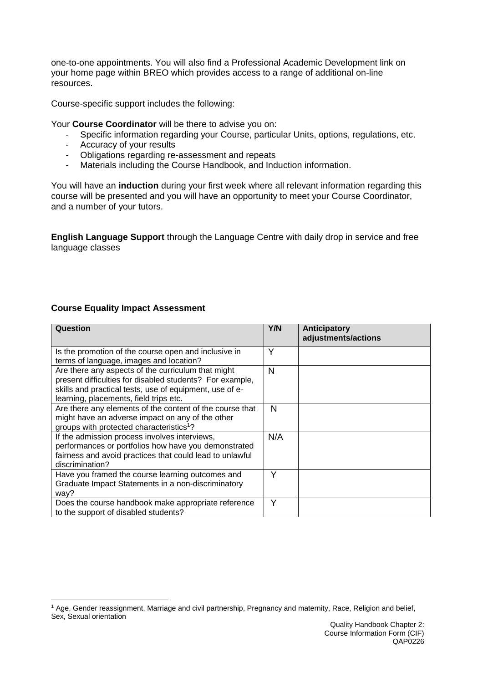one-to-one appointments. You will also find a Professional Academic Development link on your home page within BREO which provides access to a range of additional on-line resources.

Course-specific support includes the following:

Your **Course Coordinator** will be there to advise you on:

- Specific information regarding your Course, particular Units, options, regulations, etc.
- Accuracy of your results
- Obligations regarding re-assessment and repeats
- Materials including the Course Handbook, and Induction information.

You will have an **induction** during your first week where all relevant information regarding this course will be presented and you will have an opportunity to meet your Course Coordinator, and a number of your tutors.

**English Language Support** through the Language Centre with daily drop in service and free language classes

#### **Course Equality Impact Assessment**

| Question                                                                                                                                                                                                            | Y/N | Anticipatory<br>adjustments/actions |
|---------------------------------------------------------------------------------------------------------------------------------------------------------------------------------------------------------------------|-----|-------------------------------------|
| Is the promotion of the course open and inclusive in<br>terms of language, images and location?                                                                                                                     | Υ   |                                     |
| Are there any aspects of the curriculum that might<br>present difficulties for disabled students? For example,<br>skills and practical tests, use of equipment, use of e-<br>learning, placements, field trips etc. | N   |                                     |
| Are there any elements of the content of the course that<br>might have an adverse impact on any of the other<br>groups with protected characteristics <sup>1</sup> ?                                                | N   |                                     |
| If the admission process involves interviews,<br>performances or portfolios how have you demonstrated<br>fairness and avoid practices that could lead to unlawful<br>discrimination?                                | N/A |                                     |
| Have you framed the course learning outcomes and<br>Graduate Impact Statements in a non-discriminatory<br>way?                                                                                                      | Υ   |                                     |
| Does the course handbook make appropriate reference<br>to the support of disabled students?                                                                                                                         | Y   |                                     |

<sup>1</sup> Age, Gender reassignment, Marriage and civil partnership, Pregnancy and maternity, Race, Religion and belief, Sex, Sexual orientation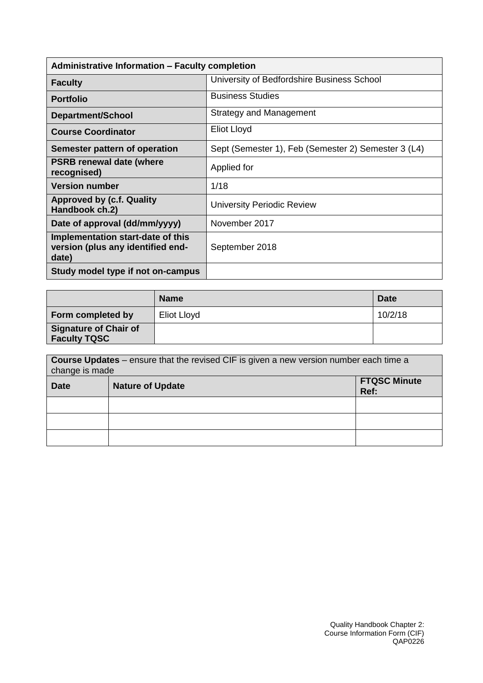| <b>Administrative Information - Faculty completion</b>                          |                                                     |  |  |  |  |  |  |  |
|---------------------------------------------------------------------------------|-----------------------------------------------------|--|--|--|--|--|--|--|
| <b>Faculty</b>                                                                  | University of Bedfordshire Business School          |  |  |  |  |  |  |  |
| <b>Portfolio</b>                                                                | <b>Business Studies</b>                             |  |  |  |  |  |  |  |
| <b>Department/School</b>                                                        | <b>Strategy and Management</b>                      |  |  |  |  |  |  |  |
| <b>Course Coordinator</b>                                                       | <b>Eliot Lloyd</b>                                  |  |  |  |  |  |  |  |
| Semester pattern of operation                                                   | Sept (Semester 1), Feb (Semester 2) Semester 3 (L4) |  |  |  |  |  |  |  |
| <b>PSRB renewal date (where</b><br>recognised)                                  | Applied for                                         |  |  |  |  |  |  |  |
| <b>Version number</b>                                                           | 1/18                                                |  |  |  |  |  |  |  |
| <b>Approved by (c.f. Quality</b><br>Handbook ch.2)                              | <b>University Periodic Review</b>                   |  |  |  |  |  |  |  |
| Date of approval (dd/mm/yyyy)                                                   | November 2017                                       |  |  |  |  |  |  |  |
| Implementation start-date of this<br>version (plus any identified end-<br>date) | September 2018                                      |  |  |  |  |  |  |  |
| Study model type if not on-campus                                               |                                                     |  |  |  |  |  |  |  |

|                                                     | <b>Name</b> | <b>Date</b> |
|-----------------------------------------------------|-------------|-------------|
| Form completed by                                   | Eliot Lloyd | 10/2/18     |
| <b>Signature of Chair of</b><br><b>Faculty TQSC</b> |             |             |

| <b>Course Updates</b> – ensure that the revised CIF is given a new version number each time a<br>change is made |                         |                             |  |  |  |  |
|-----------------------------------------------------------------------------------------------------------------|-------------------------|-----------------------------|--|--|--|--|
| <b>Date</b>                                                                                                     | <b>Nature of Update</b> | <b>FTQSC Minute</b><br>Ref: |  |  |  |  |
|                                                                                                                 |                         |                             |  |  |  |  |
|                                                                                                                 |                         |                             |  |  |  |  |
|                                                                                                                 |                         |                             |  |  |  |  |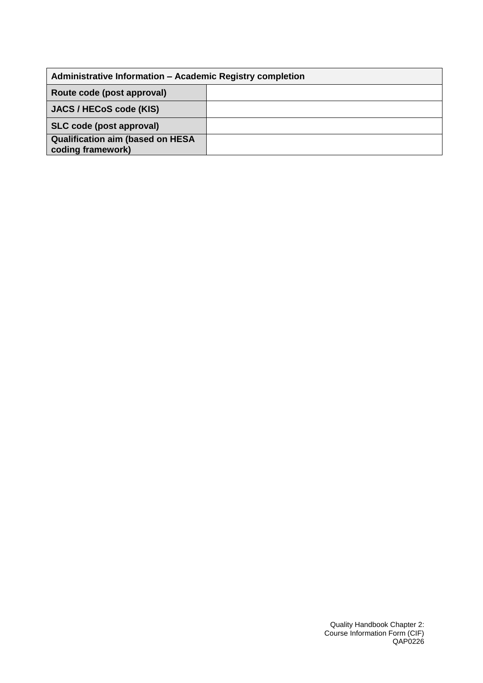| Administrative Information - Academic Registry completion    |  |  |  |  |  |  |  |
|--------------------------------------------------------------|--|--|--|--|--|--|--|
| Route code (post approval)                                   |  |  |  |  |  |  |  |
| JACS / HECoS code (KIS)                                      |  |  |  |  |  |  |  |
| SLC code (post approval)                                     |  |  |  |  |  |  |  |
| <b>Qualification aim (based on HESA</b><br>coding framework) |  |  |  |  |  |  |  |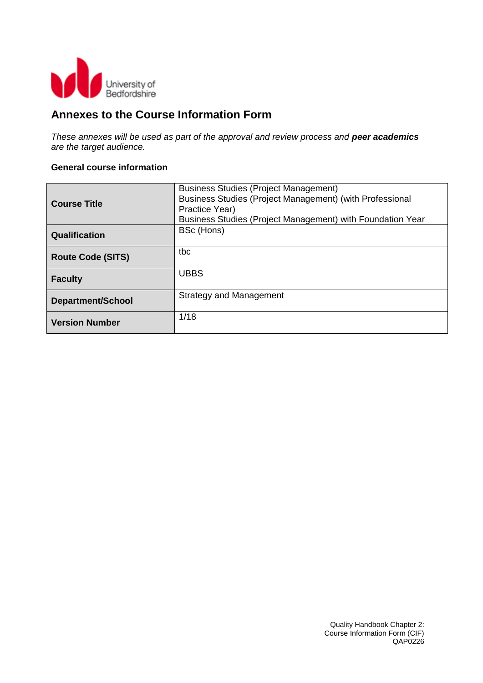

## **Annexes to the Course Information Form**

*These annexes will be used as part of the approval and review process and peer academics are the target audience.*

#### **General course information**

|                          | <b>Business Studies (Project Management)</b>               |
|--------------------------|------------------------------------------------------------|
| <b>Course Title</b>      | Business Studies (Project Management) (with Professional   |
|                          | Practice Year)                                             |
|                          | Business Studies (Project Management) with Foundation Year |
| Qualification            | BSc (Hons)                                                 |
|                          |                                                            |
| <b>Route Code (SITS)</b> | tbc                                                        |
|                          |                                                            |
| <b>Faculty</b>           | <b>UBBS</b>                                                |
|                          |                                                            |
| <b>Department/School</b> | <b>Strategy and Management</b>                             |
|                          |                                                            |
| <b>Version Number</b>    | 1/18                                                       |
|                          |                                                            |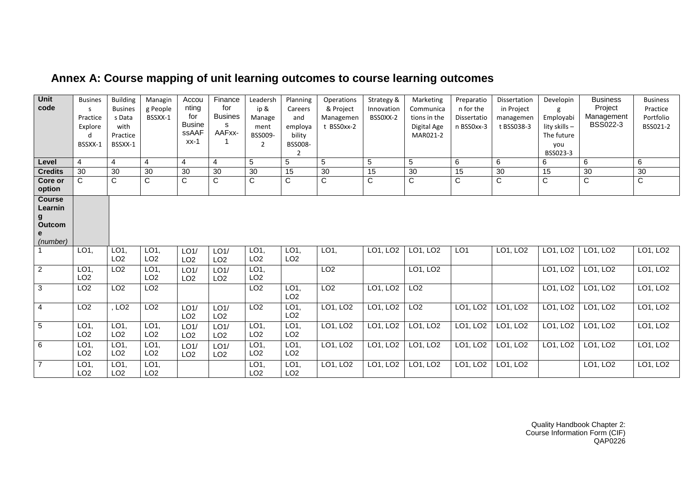| Unit<br>code                                             | <b>Busines</b><br>S.<br>Practice<br>Explore<br>d<br>BSSXX-1 | <b>Building</b><br><b>Busines</b><br>s Data<br>with<br>Practice<br>BSSXX-1 | Managin<br>g People<br>BSSXX-1 | Accou<br>nting<br>for<br><b>Busine</b><br><b>ssAAF</b><br>$xx-1$ | Finance<br>for<br><b>Busines</b><br>s<br>AAFxx- | Leadersh<br>ip &<br>Manage<br>ment<br>BSS009-<br>$\overline{2}$ | Planning<br>Careers<br>and<br>employa<br>bility<br><b>BSS008-</b><br>$\mathfrak{p}$ | Operations<br>& Project<br>Managemen<br>t BSS0xx-2 | Strategy &<br>Innovation<br>BSS0XX-2 | Marketing<br>Communica<br>tions in the<br>Digital Age<br>MAR021-2 | Preparatio<br>n for the<br>Dissertatio<br>n BSS0xx-3 | Dissertation<br>in Project<br>managemen<br>t BSS038-3 | Developin<br>Employabi<br>lity skills -<br>The future<br>you<br>BSS023-3 | <b>Business</b><br>Project<br>Management<br>BSS022-3 | <b>Business</b><br>Practice<br>Portfolio<br>BSS021-2 |
|----------------------------------------------------------|-------------------------------------------------------------|----------------------------------------------------------------------------|--------------------------------|------------------------------------------------------------------|-------------------------------------------------|-----------------------------------------------------------------|-------------------------------------------------------------------------------------|----------------------------------------------------|--------------------------------------|-------------------------------------------------------------------|------------------------------------------------------|-------------------------------------------------------|--------------------------------------------------------------------------|------------------------------------------------------|------------------------------------------------------|
| Level                                                    | $\overline{4}$                                              | $\overline{4}$                                                             | $\overline{4}$                 | $\overline{4}$                                                   | 4                                               | 5                                                               | 5                                                                                   | 5                                                  | 5                                    | $\sqrt{5}$                                                        | 6                                                    | 6                                                     | 6                                                                        | 6                                                    | 6                                                    |
| <b>Credits</b>                                           | 30                                                          | 30                                                                         | 30                             | 30                                                               | 30                                              | 30                                                              | 15                                                                                  | 30                                                 | 15                                   | 30                                                                | 15                                                   | 30                                                    | 15                                                                       | 30                                                   | 30                                                   |
| Core or<br>option                                        | $\mathsf{C}$                                                | $\overline{C}$                                                             | $\overline{C}$                 | $\overline{C}$                                                   | $\overline{\text{c}}$                           | $\overline{C}$                                                  | $\overline{\text{c}}$                                                               | $\overline{C}$                                     | $\overline{\text{c}}$                | $\overline{C}$                                                    | $\overline{C}$                                       | $\overline{C}$                                        | $\overline{C}$                                                           | $\overline{C}$                                       | $\overline{\text{c}}$                                |
| <b>Course</b><br>Learnin<br>g<br>Outcom<br>e<br>(number) |                                                             |                                                                            |                                |                                                                  |                                                 |                                                                 |                                                                                     |                                                    |                                      |                                                                   |                                                      |                                                       |                                                                          |                                                      |                                                      |
|                                                          | LO <sub>1</sub> ,                                           | LO1,<br>LO <sub>2</sub>                                                    | LO1,<br>LO <sub>2</sub>        | LO1/<br>LO <sub>2</sub>                                          | LO1/<br>LO <sub>2</sub>                         | LO1,<br>LO <sub>2</sub>                                         | LO1,<br>LO <sub>2</sub>                                                             | LO1,                                               | LO1, LO2                             | LO1, LO2                                                          | LO1                                                  | LO1, LO2                                              | LO1, LO2                                                                 | LO1, LO2                                             | LO1, LO2                                             |
| $\overline{2}$                                           | LO <sub>1</sub><br>LO <sub>2</sub>                          | LO <sub>2</sub>                                                            | LO1,<br>LO <sub>2</sub>        | LO1/<br>LO <sub>2</sub>                                          | LO1/<br>LO <sub>2</sub>                         | LO1,<br>LO <sub>2</sub>                                         |                                                                                     | LO <sub>2</sub>                                    |                                      | LO1, LO2                                                          |                                                      |                                                       | LO1, LO2                                                                 | LO1, LO2                                             | LO1, LO2                                             |
| $\overline{3}$                                           | LO2                                                         | LO2                                                                        | LO2                            |                                                                  |                                                 | LO2                                                             | LO1,<br>LO <sub>2</sub>                                                             | LO2                                                | LO1, LO2                             | LO2                                                               |                                                      |                                                       | LO1, LO2                                                                 | LO1, LO2                                             | LO1, LO2                                             |
| $\overline{4}$                                           | LO2                                                         | LO2                                                                        | LO2                            | LO1/<br>LO <sub>2</sub>                                          | LO1/<br>LO <sub>2</sub>                         | LO <sub>2</sub>                                                 | LO1,<br>LO <sub>2</sub>                                                             | LO1, LO2                                           | LO1, LO2                             | LO2                                                               | LO1, LO2                                             | LO1, LO2                                              | LO1, LO2                                                                 | LO1, LO2                                             | LO1, LO2                                             |
| $5\overline{)}$                                          | LO <sub>1</sub><br>LO <sub>2</sub>                          | LO1,<br>LO <sub>2</sub>                                                    | LO1,<br>LO <sub>2</sub>        | LO1/<br>LO <sub>2</sub>                                          | LO1/<br>LO <sub>2</sub>                         | LO1<br>LO <sub>2</sub>                                          | LO1,<br>LO <sub>2</sub>                                                             | LO1, LO2                                           | LO1, LO2                             | LO1, LO2                                                          | LO1, LO2                                             | LO1, LO2                                              | LO1, LO2                                                                 | LO1, LO2                                             | LO1, LO2                                             |
| 6                                                        | LO <sub>1</sub><br>LO <sub>2</sub>                          | LO <sub>1</sub><br>LO <sub>2</sub>                                         | LO1,<br>LO <sub>2</sub>        | LO1/<br>LO <sub>2</sub>                                          | LO1/<br>LO <sub>2</sub>                         | LO1,<br>LO <sub>2</sub>                                         | LO1,<br>LO <sub>2</sub>                                                             | LO1, LO2                                           | LO1, LO2                             | LO1, LO2                                                          | LO1, LO2                                             | LO1, LO2                                              | LO1, LO2                                                                 | LO1, LO2                                             | LO1, LO2                                             |
| $\overline{7}$                                           | LO <sub>1</sub><br>LO <sub>2</sub>                          | LO <sub>1</sub><br>LO <sub>2</sub>                                         | LO1,<br>LO <sub>2</sub>        |                                                                  |                                                 | LO1,<br>LO <sub>2</sub>                                         | LO1,<br>LO <sub>2</sub>                                                             | LO1, LO2                                           | LO1, LO2                             | LO1, LO2                                                          | LO1, LO2                                             | LO1, LO2                                              |                                                                          | LO1, LO2                                             | LO1, LO2                                             |

# **Annex A: Course mapping of unit learning outcomes to course learning outcomes**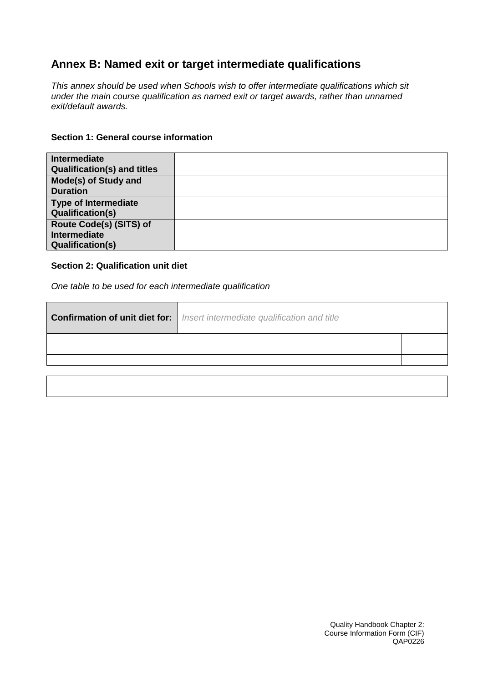# **Annex B: Named exit or target intermediate qualifications**

*This annex should be used when Schools wish to offer intermediate qualifications which sit under the main course qualification as named exit or target awards, rather than unnamed exit/default awards.*

#### **Section 1: General course information**

| <b>Intermediate</b><br><b>Qualification(s) and titles</b>                 |  |
|---------------------------------------------------------------------------|--|
| Mode(s) of Study and<br><b>Duration</b>                                   |  |
| <b>Type of Intermediate</b><br><b>Qualification(s)</b>                    |  |
| Route Code(s) (SITS) of<br><b>Intermediate</b><br><b>Qualification(s)</b> |  |

### **Section 2: Qualification unit diet**

*One table to be used for each intermediate qualification*

| <b>Confirmation of unit diet for:</b>   Insert intermediate qualification and title |  |
|-------------------------------------------------------------------------------------|--|
|                                                                                     |  |
|                                                                                     |  |
|                                                                                     |  |
|                                                                                     |  |
|                                                                                     |  |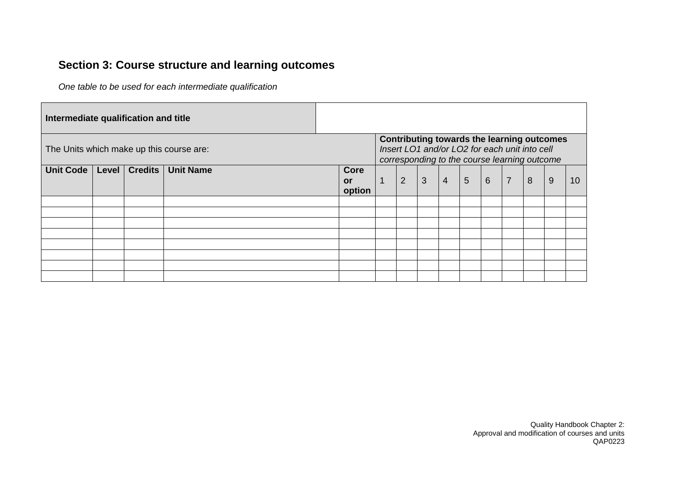# **Section 3: Course structure and learning outcomes**

*One table to be used for each intermediate qualification*

| Intermediate qualification and title     |       |                |                  |                             |                |                                                                                               |              |                |                 |                 |                |                                            |   |    |
|------------------------------------------|-------|----------------|------------------|-----------------------------|----------------|-----------------------------------------------------------------------------------------------|--------------|----------------|-----------------|-----------------|----------------|--------------------------------------------|---|----|
| The Units which make up this course are: |       |                |                  |                             |                | Insert LO1 and/or LO2 for each unit into cell<br>corresponding to the course learning outcome |              |                |                 |                 |                | Contributing towards the learning outcomes |   |    |
| <b>Unit Code</b>                         | Level | <b>Credits</b> | <b>Unit Name</b> | Core<br><b>or</b><br>option | $\overline{1}$ | $\overline{2}$                                                                                | $\mathbf{3}$ | $\overline{4}$ | $5\phantom{.0}$ | $6\overline{6}$ | $\overline{7}$ | 8                                          | 9 | 10 |
|                                          |       |                |                  |                             |                |                                                                                               |              |                |                 |                 |                |                                            |   |    |
|                                          |       |                |                  |                             |                |                                                                                               |              |                |                 |                 |                |                                            |   |    |
|                                          |       |                |                  |                             |                |                                                                                               |              |                |                 |                 |                |                                            |   |    |
|                                          |       |                |                  |                             |                |                                                                                               |              |                |                 |                 |                |                                            |   |    |
|                                          |       |                |                  |                             |                |                                                                                               |              |                |                 |                 |                |                                            |   |    |
|                                          |       |                |                  |                             |                |                                                                                               |              |                |                 |                 |                |                                            |   |    |
|                                          |       |                |                  |                             |                |                                                                                               |              |                |                 |                 |                |                                            |   |    |
|                                          |       |                |                  |                             |                |                                                                                               |              |                |                 |                 |                |                                            |   |    |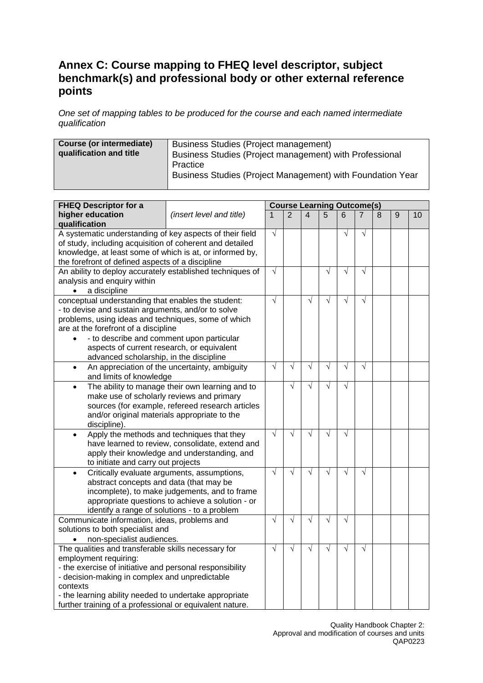### **Annex C: Course mapping to FHEQ level descriptor, subject benchmark(s) and professional body or other external reference points**

*One set of mapping tables to be produced for the course and each named intermediate qualification*

| Course (or intermediate) | Business Studies (Project management)                      |
|--------------------------|------------------------------------------------------------|
| qualification and title  | Business Studies (Project management) with Professional    |
|                          | Practice                                                   |
|                          |                                                            |
|                          | Business Studies (Project Management) with Foundation Year |

| <b>FHEQ Descriptor for a</b>                                               |                                                  |            |                |                         | <b>Course Learning Outcome(s)</b> |           |            |   |   |    |
|----------------------------------------------------------------------------|--------------------------------------------------|------------|----------------|-------------------------|-----------------------------------|-----------|------------|---|---|----|
| higher education<br>(insert level and title)<br>$\mathbf{1}$               |                                                  |            | $\mathfrak{p}$ | $\overline{\mathbf{A}}$ | 5                                 | 6         | 7          | 8 | 9 | 10 |
| qualification                                                              |                                                  |            |                |                         |                                   |           |            |   |   |    |
| A systematic understanding of key aspects of their field                   |                                                  | $\sqrt{ }$ |                |                         |                                   | $\sqrt{}$ | $\sqrt{}$  |   |   |    |
| of study, including acquisition of coherent and detailed                   |                                                  |            |                |                         |                                   |           |            |   |   |    |
| knowledge, at least some of which is at, or informed by,                   |                                                  |            |                |                         |                                   |           |            |   |   |    |
| the forefront of defined aspects of a discipline                           |                                                  |            |                |                         |                                   |           |            |   |   |    |
| An ability to deploy accurately established techniques of                  |                                                  | $\sqrt{}$  |                |                         | $\sqrt{}$                         | $\sqrt{}$ | $\sqrt{}$  |   |   |    |
| analysis and enquiry within                                                |                                                  |            |                |                         |                                   |           |            |   |   |    |
| a discipline<br>$\bullet$                                                  |                                                  |            |                |                         |                                   |           |            |   |   |    |
| conceptual understanding that enables the student:                         |                                                  | $\sqrt{}$  |                | $\sqrt{}$               | $\sqrt{}$                         | $\sqrt{}$ | $\sqrt{}$  |   |   |    |
| - to devise and sustain arguments, and/or to solve                         |                                                  |            |                |                         |                                   |           |            |   |   |    |
| problems, using ideas and techniques, some of which                        |                                                  |            |                |                         |                                   |           |            |   |   |    |
| are at the forefront of a discipline                                       |                                                  |            |                |                         |                                   |           |            |   |   |    |
| - to describe and comment upon particular<br>$\bullet$                     |                                                  |            |                |                         |                                   |           |            |   |   |    |
| aspects of current research, or equivalent                                 |                                                  |            |                |                         |                                   |           |            |   |   |    |
| advanced scholarship, in the discipline                                    |                                                  | $\sqrt{}$  | $\sqrt{}$      | $\sqrt{}$               | $\sqrt{}$                         | $\sqrt{}$ | $\sqrt{}$  |   |   |    |
| $\bullet$                                                                  | An appreciation of the uncertainty, ambiguity    |            |                |                         |                                   |           |            |   |   |    |
| and limits of knowledge<br>The ability to manage their own learning and to |                                                  |            | $\sqrt{}$      | $\sqrt{}$               | $\sqrt{ }$                        | $\sqrt{}$ |            |   |   |    |
| $\bullet$<br>make use of scholarly reviews and primary                     |                                                  |            |                |                         |                                   |           |            |   |   |    |
|                                                                            | sources (for example, refereed research articles |            |                |                         |                                   |           |            |   |   |    |
| and/or original materials appropriate to the                               |                                                  |            |                |                         |                                   |           |            |   |   |    |
| discipline).                                                               |                                                  |            |                |                         |                                   |           |            |   |   |    |
| $\bullet$                                                                  | Apply the methods and techniques that they       | $\sqrt{}$  | $\sqrt{}$      | $\sqrt{}$               | $\sqrt{}$                         | $\sqrt{}$ |            |   |   |    |
|                                                                            | have learned to review, consolidate, extend and  |            |                |                         |                                   |           |            |   |   |    |
|                                                                            | apply their knowledge and understanding, and     |            |                |                         |                                   |           |            |   |   |    |
| to initiate and carry out projects                                         |                                                  |            |                |                         |                                   |           |            |   |   |    |
|                                                                            | Critically evaluate arguments, assumptions,      | $\sqrt{ }$ | $\sqrt{}$      | $\sqrt{}$               | $\sqrt{}$                         | $\sqrt{}$ | $\sqrt{}$  |   |   |    |
| abstract concepts and data (that may be                                    |                                                  |            |                |                         |                                   |           |            |   |   |    |
|                                                                            | incomplete), to make judgements, and to frame    |            |                |                         |                                   |           |            |   |   |    |
|                                                                            | appropriate questions to achieve a solution - or |            |                |                         |                                   |           |            |   |   |    |
| identify a range of solutions - to a problem                               | $\sqrt{}$                                        |            |                |                         |                                   |           |            |   |   |    |
| Communicate information, ideas, problems and                               |                                                  |            | $\sqrt{}$      | $\sqrt{}$               | $\sqrt{}$                         | V         |            |   |   |    |
| solutions to both specialist and                                           |                                                  |            |                |                         |                                   |           |            |   |   |    |
| non-specialist audiences.                                                  |                                                  |            |                |                         |                                   |           |            |   |   |    |
| The qualities and transferable skills necessary for                        |                                                  | $\sqrt{}$  | $\sqrt{ }$     | $\sqrt{ }$              | $\sqrt{}$                         | $\sqrt{}$ | $\sqrt{ }$ |   |   |    |
| employment requiring:                                                      |                                                  |            |                |                         |                                   |           |            |   |   |    |
| - the exercise of initiative and personal responsibility                   |                                                  |            |                |                         |                                   |           |            |   |   |    |
| - decision-making in complex and unpredictable                             |                                                  |            |                |                         |                                   |           |            |   |   |    |
| contexts                                                                   |                                                  |            |                |                         |                                   |           |            |   |   |    |
| - the learning ability needed to undertake appropriate                     |                                                  |            |                |                         |                                   |           |            |   |   |    |
| further training of a professional or equivalent nature.                   |                                                  |            |                |                         |                                   |           |            |   |   |    |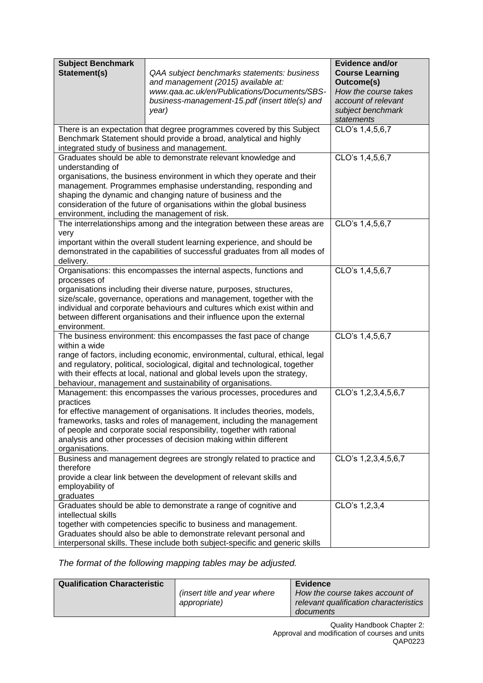| <b>Subject Benchmark</b>                                                                    |                                                                                                                                                               | <b>Evidence and/or</b>                      |  |  |  |  |  |  |
|---------------------------------------------------------------------------------------------|---------------------------------------------------------------------------------------------------------------------------------------------------------------|---------------------------------------------|--|--|--|--|--|--|
| Statement(s)                                                                                | QAA subject benchmarks statements: business<br>and management (2015) available at:                                                                            | <b>Course Learning</b><br>Outcome(s)        |  |  |  |  |  |  |
|                                                                                             | www.qaa.ac.uk/en/Publications/Documents/SBS-<br>business-management-15.pdf (insert title(s) and                                                               | How the course takes<br>account of relevant |  |  |  |  |  |  |
|                                                                                             | year)                                                                                                                                                         | subject benchmark<br>statements             |  |  |  |  |  |  |
|                                                                                             | There is an expectation that degree programmes covered by this Subject                                                                                        | CLO's 1,4,5,6,7                             |  |  |  |  |  |  |
|                                                                                             | Benchmark Statement should provide a broad, analytical and highly                                                                                             |                                             |  |  |  |  |  |  |
| integrated study of business and management.                                                |                                                                                                                                                               |                                             |  |  |  |  |  |  |
|                                                                                             | Graduates should be able to demonstrate relevant knowledge and                                                                                                | CLO's 1,4,5,6,7                             |  |  |  |  |  |  |
| understanding of                                                                            |                                                                                                                                                               |                                             |  |  |  |  |  |  |
|                                                                                             | organisations, the business environment in which they operate and their                                                                                       |                                             |  |  |  |  |  |  |
|                                                                                             | management. Programmes emphasise understanding, responding and                                                                                                |                                             |  |  |  |  |  |  |
|                                                                                             | shaping the dynamic and changing nature of business and the                                                                                                   |                                             |  |  |  |  |  |  |
|                                                                                             | consideration of the future of organisations within the global business                                                                                       |                                             |  |  |  |  |  |  |
| environment, including the management of risk.                                              |                                                                                                                                                               |                                             |  |  |  |  |  |  |
|                                                                                             | The interrelationships among and the integration between these areas are                                                                                      | CLO's 1,4,5,6,7                             |  |  |  |  |  |  |
| very                                                                                        | important within the overall student learning experience, and should be                                                                                       |                                             |  |  |  |  |  |  |
|                                                                                             |                                                                                                                                                               |                                             |  |  |  |  |  |  |
| demonstrated in the capabilities of successful graduates from all modes of<br>delivery.     |                                                                                                                                                               |                                             |  |  |  |  |  |  |
|                                                                                             | Organisations: this encompasses the internal aspects, functions and<br>CLO's 1,4,5,6,7                                                                        |                                             |  |  |  |  |  |  |
| processes of                                                                                |                                                                                                                                                               |                                             |  |  |  |  |  |  |
|                                                                                             | organisations including their diverse nature, purposes, structures,                                                                                           |                                             |  |  |  |  |  |  |
|                                                                                             | size/scale, governance, operations and management, together with the                                                                                          |                                             |  |  |  |  |  |  |
|                                                                                             | individual and corporate behaviours and cultures which exist within and                                                                                       |                                             |  |  |  |  |  |  |
|                                                                                             | between different organisations and their influence upon the external                                                                                         |                                             |  |  |  |  |  |  |
| environment.                                                                                |                                                                                                                                                               |                                             |  |  |  |  |  |  |
|                                                                                             | The business environment: this encompasses the fast pace of change                                                                                            | CLO's 1,4,5,6,7                             |  |  |  |  |  |  |
| within a wide                                                                               |                                                                                                                                                               |                                             |  |  |  |  |  |  |
|                                                                                             | range of factors, including economic, environmental, cultural, ethical, legal<br>and regulatory, political, sociological, digital and technological, together |                                             |  |  |  |  |  |  |
|                                                                                             | with their effects at local, national and global levels upon the strategy,                                                                                    |                                             |  |  |  |  |  |  |
|                                                                                             | behaviour, management and sustainability of organisations.                                                                                                    |                                             |  |  |  |  |  |  |
|                                                                                             | Management: this encompasses the various processes, procedures and                                                                                            | CLO's 1,2,3,4,5,6,7                         |  |  |  |  |  |  |
| practices                                                                                   |                                                                                                                                                               |                                             |  |  |  |  |  |  |
|                                                                                             | for effective management of organisations. It includes theories, models,                                                                                      |                                             |  |  |  |  |  |  |
|                                                                                             | frameworks, tasks and roles of management, including the management                                                                                           |                                             |  |  |  |  |  |  |
|                                                                                             | of people and corporate social responsibility, together with rational                                                                                         |                                             |  |  |  |  |  |  |
| analysis and other processes of decision making within different                            |                                                                                                                                                               |                                             |  |  |  |  |  |  |
| organisations.                                                                              |                                                                                                                                                               |                                             |  |  |  |  |  |  |
| Business and management degrees are strongly related to practice and<br>CLO's 1,2,3,4,5,6,7 |                                                                                                                                                               |                                             |  |  |  |  |  |  |
| therefore                                                                                   |                                                                                                                                                               |                                             |  |  |  |  |  |  |
| provide a clear link between the development of relevant skills and                         |                                                                                                                                                               |                                             |  |  |  |  |  |  |
| graduates                                                                                   | employability of                                                                                                                                              |                                             |  |  |  |  |  |  |
|                                                                                             | Graduates should be able to demonstrate a range of cognitive and                                                                                              | CLO's 1,2,3,4                               |  |  |  |  |  |  |
| intellectual skills                                                                         |                                                                                                                                                               |                                             |  |  |  |  |  |  |
|                                                                                             | together with competencies specific to business and management.                                                                                               |                                             |  |  |  |  |  |  |
|                                                                                             | Graduates should also be able to demonstrate relevant personal and                                                                                            |                                             |  |  |  |  |  |  |
| interpersonal skills. These include both subject-specific and generic skills                |                                                                                                                                                               |                                             |  |  |  |  |  |  |

*The format of the following mapping tables may be adjusted.*

| <b>Qualification Characteristic</b> |                                      | Evidence                               |
|-------------------------------------|--------------------------------------|----------------------------------------|
|                                     | <i>(insert title and year where)</i> | How the course takes account of        |
|                                     | appropriate)                         | relevant qualification characteristics |
|                                     |                                      | documents                              |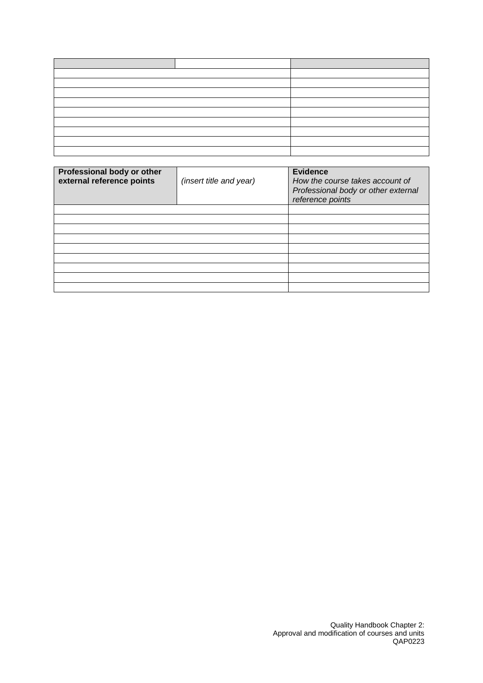| Professional body or other<br>external reference points | (insert title and year) | <b>Evidence</b><br>How the course takes account of<br>Professional body or other external<br>reference points |
|---------------------------------------------------------|-------------------------|---------------------------------------------------------------------------------------------------------------|
|                                                         |                         |                                                                                                               |
|                                                         |                         |                                                                                                               |
|                                                         |                         |                                                                                                               |
|                                                         |                         |                                                                                                               |
|                                                         |                         |                                                                                                               |
|                                                         |                         |                                                                                                               |
|                                                         |                         |                                                                                                               |
|                                                         |                         |                                                                                                               |
|                                                         |                         |                                                                                                               |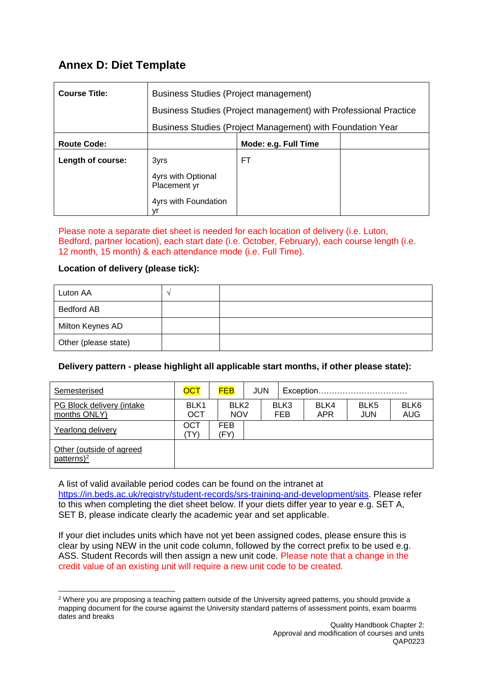## **Annex D: Diet Template**

| <b>Course Title:</b> | Business Studies (Project management)                            |                      |  |  |  |
|----------------------|------------------------------------------------------------------|----------------------|--|--|--|
|                      | Business Studies (Project management) with Professional Practice |                      |  |  |  |
|                      | Business Studies (Project Management) with Foundation Year       |                      |  |  |  |
| <b>Route Code:</b>   |                                                                  | Mode: e.g. Full Time |  |  |  |
| Length of course:    | 3yrs                                                             | FT                   |  |  |  |
|                      | 4yrs with Optional<br>Placement yr                               |                      |  |  |  |
|                      | 4yrs with Foundation<br>vr                                       |                      |  |  |  |

Please note a separate diet sheet is needed for each location of delivery (i.e. Luton, Bedford, partner location), each start date (i.e. October, February), each course length (i.e. 12 month, 15 month) & each attendance mode (i.e. Full Time).

### **Location of delivery (please tick):**

-

| Luton AA             |  |
|----------------------|--|
| <b>Bedford AB</b>    |  |
| Milton Keynes AD     |  |
| Other (please state) |  |

### **Delivery pattern - please highlight all applicable start months, if other please state):**

| Semesterised                               | <b>OCT</b>  | <b>FEB</b>                     | <b>JUN</b> | Exception          |                    |                    |                                |
|--------------------------------------------|-------------|--------------------------------|------------|--------------------|--------------------|--------------------|--------------------------------|
| PG Block delivery (intake<br>months ONLY)  | BLK1<br>ОСТ | BLK <sub>2</sub><br><b>NOV</b> |            | BLK3<br><b>FEB</b> | BLK4<br><b>APR</b> | BLK5<br><b>JUN</b> | BLK <sub>6</sub><br><b>AUG</b> |
| Yearlong delivery                          | ОСТ<br>TY)  | <b>FEB</b><br>(FY              |            |                    |                    |                    |                                |
| Other (outside of agreed<br>patterns $)^2$ |             |                                |            |                    |                    |                    |                                |

A list of valid available period codes can be found on the intranet at [https://in.beds.ac.uk/registry/student-records/srs-training-and-development/sits.](https://in.beds.ac.uk/registry/student-records/srs-training-and-development/sits) Please refer to this when completing the diet sheet below. If your diets differ year to year e.g. SET A, SET B, please indicate clearly the academic year and set applicable.

If your diet includes units which have not yet been assigned codes, please ensure this is clear by using NEW in the unit code column, followed by the correct prefix to be used e.g. ASS. Student Records will then assign a new unit code. Please note that a change in the credit value of an existing unit will require a new unit code to be created.

 $2$  Where you are proposing a teaching pattern outside of the University agreed patterns, you should provide a mapping document for the course against the University standard patterns of assessment points, exam boarms dates and breaks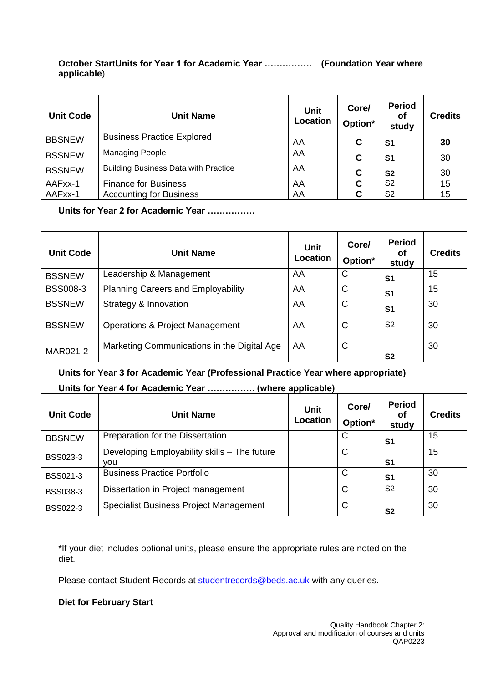#### **October StartUnits for Year 1 for Academic Year ……………. (Foundation Year where applicable**)

| <b>Unit Code</b> | <b>Unit Name</b>                            | <b>Unit</b><br>Location | Core/<br>Option* | <b>Period</b><br>οf<br>study | <b>Credits</b> |
|------------------|---------------------------------------------|-------------------------|------------------|------------------------------|----------------|
| <b>BBSNEW</b>    | <b>Business Practice Explored</b>           | AA                      | C                | S <sub>1</sub>               | 30             |
| <b>BSSNEW</b>    | <b>Managing People</b>                      | AA                      | C                | S <sub>1</sub>               | 30             |
| <b>BSSNEW</b>    | <b>Building Business Data with Practice</b> | AA                      | C                | S <sub>2</sub>               | 30             |
| AAFxx-1          | <b>Finance for Business</b>                 | AA                      | C                | S <sub>2</sub>               | 15             |
| AAFxx-1          | <b>Accounting for Business</b>              | AA                      | C                | S <sub>2</sub>               | 15             |

### **Units for Year 2 for Academic Year …………….**

| <b>Unit Code</b> | <b>Unit Name</b>                            | Unit<br>Location | Core/<br>Option* | <b>Period</b><br>οf<br>study | <b>Credits</b> |
|------------------|---------------------------------------------|------------------|------------------|------------------------------|----------------|
| <b>BSSNEW</b>    | Leadership & Management                     | AA               | C                | S <sub>1</sub>               | 15             |
| <b>BSS008-3</b>  | <b>Planning Careers and Employability</b>   | AA               | C                | S <sub>1</sub>               | 15             |
| <b>BSSNEW</b>    | Strategy & Innovation                       | AA               | C                | S <sub>1</sub>               | 30             |
| <b>BSSNEW</b>    | <b>Operations &amp; Project Management</b>  | AA               | C                | S <sub>2</sub>               | 30             |
| MAR021-2         | Marketing Communications in the Digital Age | AA               | C                | S <sub>2</sub>               | 30             |

**Units for Year 3 for Academic Year (Professional Practice Year where appropriate)**

### **Units for Year 4 for Academic Year ……………. (where applicable)**

| <b>Unit Code</b> | <b>Unit Name</b>                                    | Unit<br>Location | Core/<br>Option* | <b>Period</b><br>οf<br>study | <b>Credits</b> |
|------------------|-----------------------------------------------------|------------------|------------------|------------------------------|----------------|
| <b>BBSNEW</b>    | Preparation for the Dissertation                    |                  | C                | S <sub>1</sub>               | 15             |
| <b>BSS023-3</b>  | Developing Employability skills - The future<br>vou |                  | C                | S <sub>1</sub>               | 15             |
| <b>BSS021-3</b>  | <b>Business Practice Portfolio</b>                  |                  | C                | S <sub>1</sub>               | 30             |
| <b>BSS038-3</b>  | Dissertation in Project management                  |                  | C                | S <sub>2</sub>               | 30             |
| <b>BSS022-3</b>  | Specialist Business Project Management              |                  | C                | S <sub>2</sub>               | 30             |

\*If your diet includes optional units, please ensure the appropriate rules are noted on the diet.

Please contact Student Records at [studentrecords@beds.ac.uk](mailto:studentrecords@beds.ac.uk) with any queries.

#### **Diet for February Start**